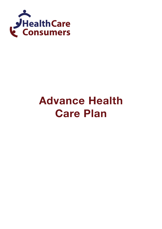

# **Advance Health Care Plan**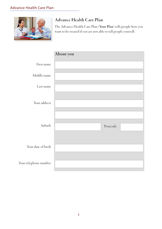

Your

## Advance Health Care Plan

The Advance Health Care Plan (Your Plan) tells people how you want to be treated if you are not able to tell people yourself.

|                    | About you |          |  |
|--------------------|-----------|----------|--|
| First name         |           |          |  |
| Middle name        |           |          |  |
| Last name          |           |          |  |
| Your address       |           |          |  |
|                    |           |          |  |
|                    |           |          |  |
| Suburb             |           | Postcode |  |
|                    |           |          |  |
| Your date of birth |           |          |  |
| telephone number   |           |          |  |
|                    |           |          |  |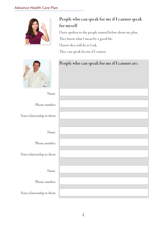#### Advance Health Care Plan



## People who can speak for me if I cannot speak for myself

I have spoken to the people named below about my plan.

They know what I mean by a good life.

I know they will do as I ask.

They can speak for me if I cannot.



|                           | People who can speak for me if I cannot are: |
|---------------------------|----------------------------------------------|
| Name                      |                                              |
| Phone number              |                                              |
| Your relationship to them |                                              |
| Name                      |                                              |
| Phone number              |                                              |
| Your relationship to them |                                              |
| Name                      |                                              |
| Phone number              |                                              |
| Your relationship to them |                                              |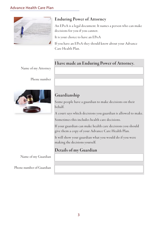

## Enduring Power of Attorney

An EPoA is a legal document. It names a person who can make decisions for you if you cannot.

It is your choice to have an EPoA

If you have an EPoA they should know about your Advance Care Health Plan.

## I have made an Enduring Power of Attorney.

Name of my Attorney

Phone number



## Guardianship

Some people have a guardian to make decisions on their behalf.

A court says which decisions you guardian is allowed to make.

Sometimes this includes health care decisions.

If your guardian can make health care decisions you should give them a copy of your Advance Care Health Plan.

It will show your guardian what you would do if you were making the decisions yourself.

## Details of my Guardian

Name of my Guardian

Phone number of Guardian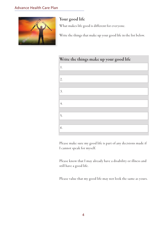

## Your good life

What makes life good is different for everyone.

Write the things that make up your good life in the list below.

## Write the things make up your good life 1. 2. 3. 4. 5. 6.

Please make sure my good life is part of any decisions made if I cannot speak for myself.

Please know that I may already have a disability or illness and still have a good life.

Please value that my good life may not look the same as yours.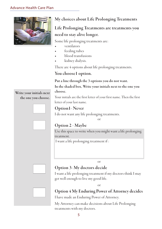

## My choices about Life Prolonging Treatments

## Life Prolonging Treatments are treatments you need to stay alive longer.

Some life prolonging treatments are:

- ventilators
- feeding tubes
- blood transfusions
- kidney dialysis.

There are 4 options about life prolonging treatments.

#### You choose1 option.

Put a line through the 3 options you do not want.

In the shaded box, Write your initials next to the one you choose.

Your initials are the first letter of your first name. Then the first letter of your last name.

#### Option1- Never

I do not want any life prolonging treatments.

or







## Option 2 - Maybe

Use this space to write when you might want a life prolonging treatment.

I want a life prolonging treatment if :

or

## Option 3- My doctors decide

I want a life prolonging treatment if my doctors think I may get well enough to live my good life.

or



## Option 4 My Enduring Power of Attorney decides

I have made an Enduring Power of Attorney.

My Attorney can make decisions about Life Prolonging treatments with my doctors.

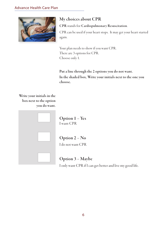

## My choices about CPR

CPR stands for Cardiopulmonary Resuscitation.

CPR can be used if your heart stops. It may get your heart started again.

Your plan needs to show if you want CPR. There are 3 options for CPR. Choose only 1.

Put a line through the 2 options you do not want. In the shaded box, Write your initials next to the one you choose.

Write your initials in the box next to the option you do want.



Option 1 – Yes I want CPR



Option 2 – No I do not want CPR



Option 3 – Maybe I only want CPR if I can get better and live my good life.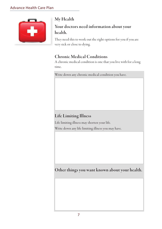

## My Health

## Your doctors need information about your health.

They need this to work out the right options for you if you are very sick or close to dying.

## Chronic Medical Conditions

A chronic medical condition is one that you live with for a long time.

Write down any chronic medical condition you have.

## Life Limiting Illness

Life limiting illness may shorten your life. Write down any life limiting illness you may have.

Other things you want known about your health.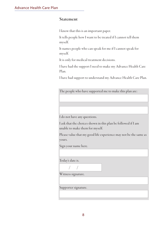#### Statement

I know that this is an important paper.

It tells people how I want to be treated if I cannot tell them myself.

It names people who can speak for me if I cannot speak for myself.

It is only for medical treatment decisions.

I have had the support I need to make my Advance Health Care Plan.

I have had support to understand my Advance Health Care Plan.

The people who have supported me to make this plan are:

I do not have any questions.

I ask that the choices shown in this plan be followed if I am unable to make them for myself.

Please value that my good life experience may not be the same as yours.

Sign your name here.

Today's date is.

/ /

/ /

Witness signature.

Supporter signature.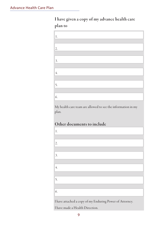## I have given a copy of my advance health care plan to



My health care team are allowed to see the information in my plan.

## Other documents to include

| 1.                                                       |
|----------------------------------------------------------|
|                                                          |
| 2.                                                       |
|                                                          |
| 3.                                                       |
|                                                          |
| 4.                                                       |
|                                                          |
| 5.                                                       |
|                                                          |
| 6.                                                       |
| I have attached a copy of my Enduring Power of Attorney. |

I have made a Health Direction.